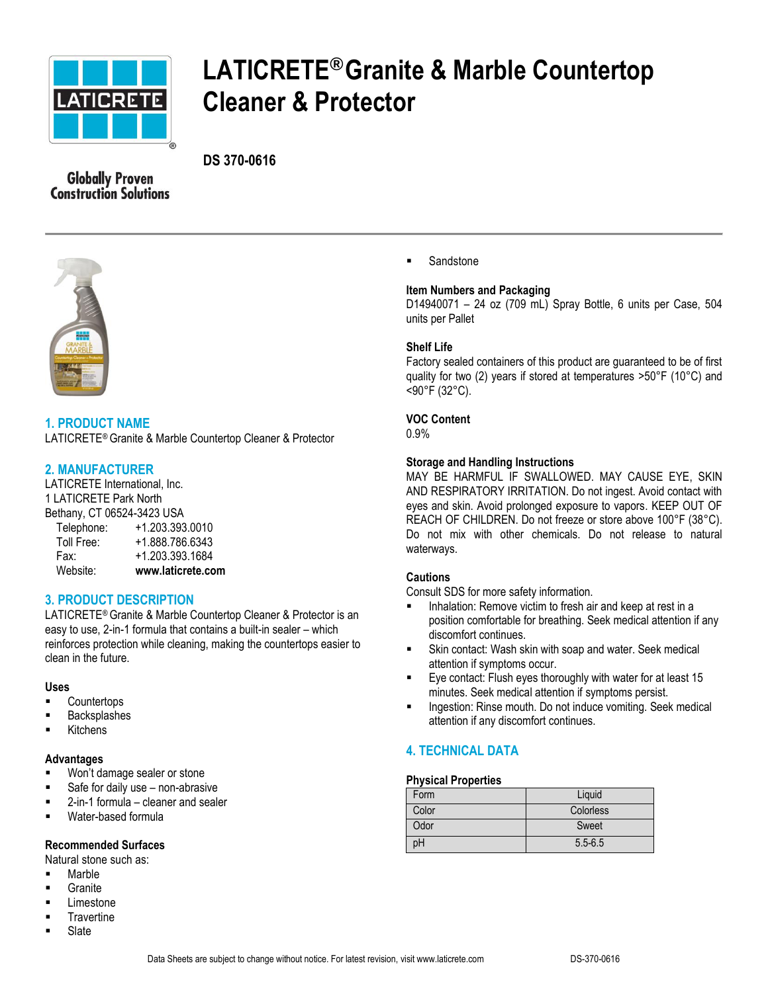

# **LATICRETE®Granite & Marble Countertop Cleaner & Protector**

# **DS 370-0616**

**Globally Proven Construction Solutions** 



**1. PRODUCT NAME** LATICRETE® Granite & Marble Countertop Cleaner & Protector

## **2. MANUFACTURER**

LATICRETE International, Inc. 1 LATICRETE Park North Bethany, CT 06524-3423 USA Telephone: +1.203.393.0010 Toll Free: +1.888.786.6343 Fax: +1.203.393.1684 Website: **www.laticrete.com**

# **3. PRODUCT DESCRIPTION**

LATICRETE® Granite & Marble Countertop Cleaner & Protector is an easy to use, 2-in-1 formula that contains a built-in sealer – which reinforces protection while cleaning, making the countertops easier to clean in the future.

## **Uses**

- **Countertops**
- Backsplashes
- Kitchens

## **Advantages**

- **Won't damage sealer or stone**
- Safe for daily use non-abrasive
- 2-in-1 formula cleaner and sealer
- Water-based formula

## **Recommended Surfaces**

Natural stone such as:

- Marble
- **Granite**
- Limestone
- **Travertine**
- Slate

**Sandstone** 

## **Item Numbers and Packaging**

D14940071 – 24 oz (709 mL) Spray Bottle, 6 units per Case, 504 units per Pallet

## **Shelf Life**

Factory sealed containers of this product are guaranteed to be of first quality for two (2) years if stored at temperatures >50°F (10°C) and <90°F (32°C).

## **VOC Content**

0.9%

## **Storage and Handling Instructions**

MAY BE HARMFUL IF SWALLOWED. MAY CAUSE EYE, SKIN AND RESPIRATORY IRRITATION. Do not ingest. Avoid contact with eyes and skin. Avoid prolonged exposure to vapors. KEEP OUT OF REACH OF CHILDREN. Do not freeze or store above 100°F (38°C). Do not mix with other chemicals. Do not release to natural waterways.

#### **Cautions**

Consult SDS for more safety information.

- Inhalation: Remove victim to fresh air and keep at rest in a position comfortable for breathing. Seek medical attention if any discomfort continues.
- Skin contact: Wash skin with soap and water. Seek medical attention if symptoms occur.
- Eye contact: Flush eyes thoroughly with water for at least 15 minutes. Seek medical attention if symptoms persist.
- **Ingestion: Rinse mouth. Do not induce vomiting. Seek medical** attention if any discomfort continues.

# **4. TECHNICAL DATA**

## **Physical Properties**

| Form  | Liquid      |
|-------|-------------|
| Color | Colorless   |
| Odor  | Sweet       |
| рH    | $5.5 - 6.5$ |